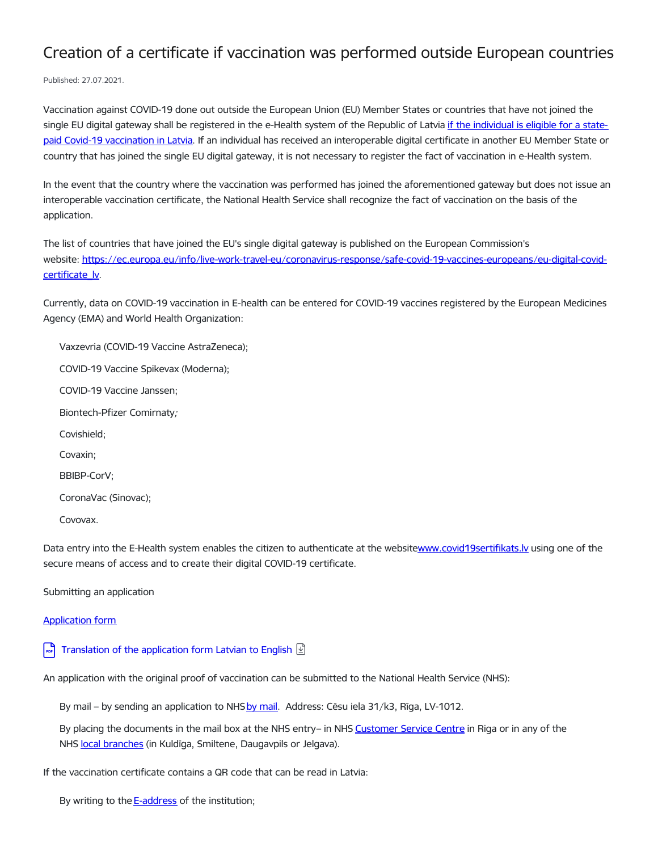## Creation of a certificate if vaccination was performed outside European countries

Published: 27.07.2021.

Vaccination against COVID-19 done out outside the European Union (EU) Member States or countries that have not joined the single EU digital gateway shall be registered in the e-Health system of the Republic of Latvia if the individual is eligible for a statepaid Covid-19 vaccination in Latvia. If an individual has received an [interoperable](https://www.vmnvd.gov.lv/lv/personas-kam-apmaksa-covid-19-vakcinacijas-pakalpojumu) digital certificate in another EU Member State or country that has joined the single EU digital gateway, it is not necessary to register the fact of vaccination in e-Health system.

In the event that the country where the vaccination was performed has joined the aforementioned gateway but does not issue an interoperable vaccination certificate, the National Health Service shall recognize the fact of vaccination on the basis of the application.

The list of countries that have joined the EU's single digital gateway is published on the European Commission's website: [https://ec.europa.eu/info/live-work-travel-eu/coronavirus-response/safe-covid-19-vaccines-europeans/eu-digital-covid](https://ec.europa.eu/info/live-work-travel-eu/coronavirus-response/safe-covid-19-vaccines-europeans/eu-digital-covid-certificate_lv)certificate\_lv.

Currently, data on COVID-19 vaccination in E-health can be entered for COVID-19 vaccines registered by the European Medicines Agency (EMA) and World Health Organization:

Vaxzevria (COVID-19 Vaccine AstraZeneca); COVID-19 Vaccine Spikevax (Moderna); COVID-19 Vaccine Janssen; Biontech-Pfizer Comirnaty; Covishield; Covaxin; BBIBP-CorV; CoronaVac (Sinovac); Covovax.

Data entry into the E-Health system enables the citizen to authenticate at the websitewww.covid19sertifikats.ly using one of the secure means of access and to create their digital COVID-19 certificate.

Submitting an application

**[Application](https://www.vmnvd.gov.lv/lv/media/8079/download) form** 

 $\left\lceil \cdot \right\rceil$  [Translation](https://www.vmnvd.gov.lv/en/media/9906/download) of the application form Latvian to English  $\boxed{\underline{\mathfrak{D}}}$ 

An application with the original proof of vaccination can be submitted to the National Health Service (NHS):

By [mail](https://www.vmnvd.gov.lv/node/1) – by sending an application to NHS by mail. Address: Cēsu iela 31/k3, Rīga, LV-1012.

By placing the documents in the mail box at the NHS entry– in NHS [Customer](https://www.vmnvd.gov.lv/node/1) Service Centre in Riga or in any of the NHS local [branches](https://www.vmnvd.gov.lv/lv/teritorialas-nodalas) (in Kuldīga, Smiltene, Daugavpils or Jelgava).

If the vaccination certificate contains a QR code that can be read in Latvia:

By writing to the **[E-address](https://latvija.lv/eaddress/write)** of the institution;